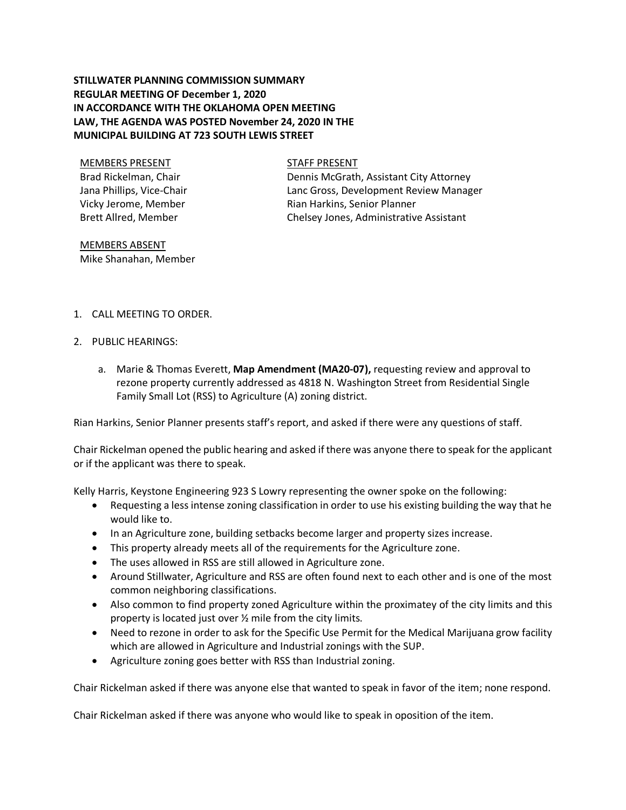# **STILLWATER PLANNING COMMISSION SUMMARY REGULAR MEETING OF December 1, 2020 IN ACCORDANCE WITH THE OKLAHOMA OPEN MEETING LAW, THE AGENDA WAS POSTED November 24, 2020 IN THE MUNICIPAL BUILDING AT 723 SOUTH LEWIS STREET**

MEMBERS PRESENT STAFF PRESENT Brad Rickelman, Chair Jana Phillips, Vice-Chair Vicky Jerome, Member Brett Allred, Member

Dennis McGrath, Assistant City Attorney Lanc Gross, Development Review Manager Rian Harkins, Senior Planner Chelsey Jones, Administrative Assistant

MEMBERS ABSENT Mike Shanahan, Member

- 1. CALL MEETING TO ORDER.
- 2. PUBLIC HEARINGS:
	- a. Marie & Thomas Everett, **Map Amendment (MA20-07),** requesting review and approval to rezone property currently addressed as 4818 N. Washington Street from Residential Single Family Small Lot (RSS) to Agriculture (A) zoning district.

Rian Harkins, Senior Planner presents staff's report, and asked if there were any questions of staff.

Chair Rickelman opened the public hearing and asked if there was anyone there to speak for the applicant or if the applicant was there to speak.

Kelly Harris, Keystone Engineering 923 S Lowry representing the owner spoke on the following:

- Requesting a less intense zoning classification in order to use his existing building the way that he would like to.
- In an Agriculture zone, building setbacks become larger and property sizes increase.
- This property already meets all of the requirements for the Agriculture zone.
- The uses allowed in RSS are still allowed in Agriculture zone.
- Around Stillwater, Agriculture and RSS are often found next to each other and is one of the most common neighboring classifications.
- Also common to find property zoned Agriculture within the proximatey of the city limits and this property is located just over ½ mile from the city limits.
- Need to rezone in order to ask for the Specific Use Permit for the Medical Marijuana grow facility which are allowed in Agriculture and Industrial zonings with the SUP.
- Agriculture zoning goes better with RSS than Industrial zoning.

Chair Rickelman asked if there was anyone else that wanted to speak in favor of the item; none respond.

Chair Rickelman asked if there was anyone who would like to speak in oposition of the item.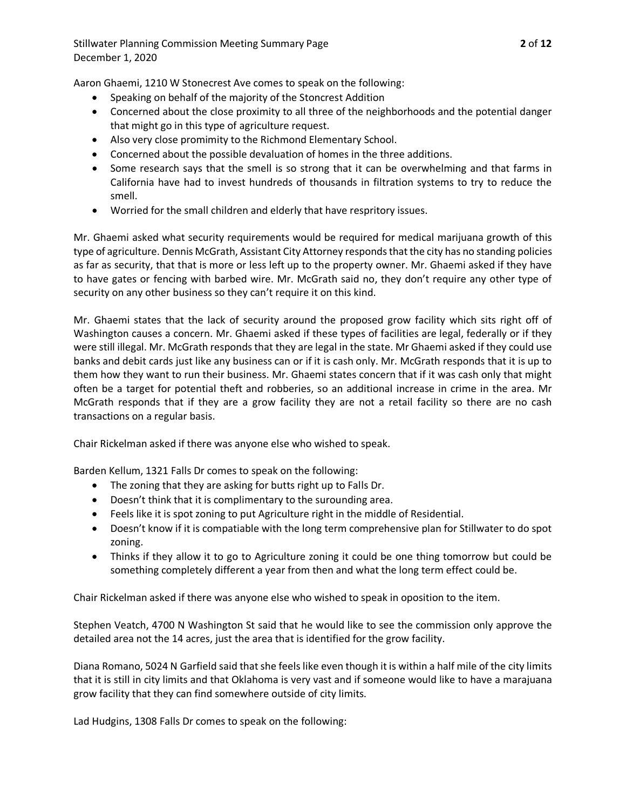Aaron Ghaemi, 1210 W Stonecrest Ave comes to speak on the following:

- Speaking on behalf of the majority of the Stoncrest Addition
- Concerned about the close proximity to all three of the neighborhoods and the potential danger that might go in this type of agriculture request.
- Also very close promimity to the Richmond Elementary School.
- Concerned about the possible devaluation of homes in the three additions.
- Some research says that the smell is so strong that it can be overwhelming and that farms in California have had to invest hundreds of thousands in filtration systems to try to reduce the smell.
- Worried for the small children and elderly that have respritory issues.

Mr. Ghaemi asked what security requirements would be required for medical marijuana growth of this type of agriculture. Dennis McGrath, Assistant City Attorney respondsthat the city has no standing policies as far as security, that that is more or less left up to the property owner. Mr. Ghaemi asked if they have to have gates or fencing with barbed wire. Mr. McGrath said no, they don't require any other type of security on any other business so they can't require it on this kind.

Mr. Ghaemi states that the lack of security around the proposed grow facility which sits right off of Washington causes a concern. Mr. Ghaemi asked if these types of facilities are legal, federally or if they were still illegal. Mr. McGrath responds that they are legal in the state. Mr Ghaemi asked if they could use banks and debit cards just like any business can or if it is cash only. Mr. McGrath responds that it is up to them how they want to run their business. Mr. Ghaemi states concern that if it was cash only that might often be a target for potential theft and robberies, so an additional increase in crime in the area. Mr McGrath responds that if they are a grow facility they are not a retail facility so there are no cash transactions on a regular basis.

Chair Rickelman asked if there was anyone else who wished to speak.

Barden Kellum, 1321 Falls Dr comes to speak on the following:

- The zoning that they are asking for butts right up to Falls Dr.
- Doesn't think that it is complimentary to the surounding area.
- Feels like it is spot zoning to put Agriculture right in the middle of Residential.
- Doesn't know if it is compatiable with the long term comprehensive plan for Stillwater to do spot zoning.
- Thinks if they allow it to go to Agriculture zoning it could be one thing tomorrow but could be something completely different a year from then and what the long term effect could be.

Chair Rickelman asked if there was anyone else who wished to speak in oposition to the item.

Stephen Veatch, 4700 N Washington St said that he would like to see the commission only approve the detailed area not the 14 acres, just the area that is identified for the grow facility.

Diana Romano, 5024 N Garfield said that she feels like even though it is within a half mile of the city limits that it is still in city limits and that Oklahoma is very vast and if someone would like to have a marajuana grow facility that they can find somewhere outside of city limits.

Lad Hudgins, 1308 Falls Dr comes to speak on the following: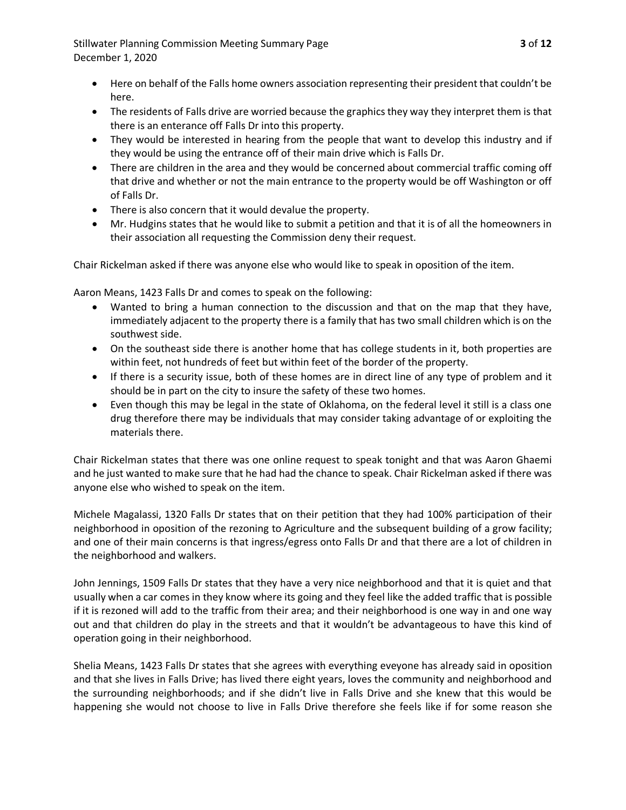Stillwater Planning Commission Meeting Summary Page **3** of **12** December 1, 2020

- Here on behalf of the Falls home owners association representing their president that couldn't be here.
- The residents of Falls drive are worried because the graphics they way they interpret them is that there is an enterance off Falls Dr into this property.
- They would be interested in hearing from the people that want to develop this industry and if they would be using the entrance off of their main drive which is Falls Dr.
- There are children in the area and they would be concerned about commercial traffic coming off that drive and whether or not the main entrance to the property would be off Washington or off of Falls Dr.
- There is also concern that it would devalue the property.
- Mr. Hudgins states that he would like to submit a petition and that it is of all the homeowners in their association all requesting the Commission deny their request.

Chair Rickelman asked if there was anyone else who would like to speak in oposition of the item.

Aaron Means, 1423 Falls Dr and comes to speak on the following:

- Wanted to bring a human connection to the discussion and that on the map that they have, immediately adjacent to the property there is a family that has two small children which is on the southwest side.
- On the southeast side there is another home that has college students in it, both properties are within feet, not hundreds of feet but within feet of the border of the property.
- If there is a security issue, both of these homes are in direct line of any type of problem and it should be in part on the city to insure the safety of these two homes.
- Even though this may be legal in the state of Oklahoma, on the federal level it still is a class one drug therefore there may be individuals that may consider taking advantage of or exploiting the materials there.

Chair Rickelman states that there was one online request to speak tonight and that was Aaron Ghaemi and he just wanted to make sure that he had had the chance to speak. Chair Rickelman asked if there was anyone else who wished to speak on the item.

Michele Magalassi, 1320 Falls Dr states that on their petition that they had 100% participation of their neighborhood in oposition of the rezoning to Agriculture and the subsequent building of a grow facility; and one of their main concerns is that ingress/egress onto Falls Dr and that there are a lot of children in the neighborhood and walkers.

John Jennings, 1509 Falls Dr states that they have a very nice neighborhood and that it is quiet and that usually when a car comes in they know where its going and they feel like the added traffic that is possible if it is rezoned will add to the traffic from their area; and their neighborhood is one way in and one way out and that children do play in the streets and that it wouldn't be advantageous to have this kind of operation going in their neighborhood.

Shelia Means, 1423 Falls Dr states that she agrees with everything eveyone has already said in oposition and that she lives in Falls Drive; has lived there eight years, loves the community and neighborhood and the surrounding neighborhoods; and if she didn't live in Falls Drive and she knew that this would be happening she would not choose to live in Falls Drive therefore she feels like if for some reason she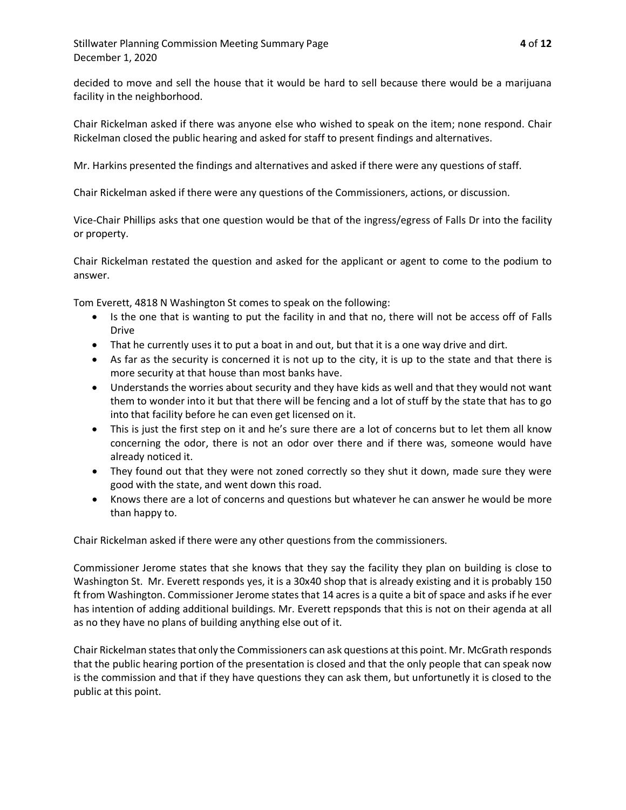decided to move and sell the house that it would be hard to sell because there would be a marijuana facility in the neighborhood.

Chair Rickelman asked if there was anyone else who wished to speak on the item; none respond. Chair Rickelman closed the public hearing and asked for staff to present findings and alternatives.

Mr. Harkins presented the findings and alternatives and asked if there were any questions of staff.

Chair Rickelman asked if there were any questions of the Commissioners, actions, or discussion.

Vice-Chair Phillips asks that one question would be that of the ingress/egress of Falls Dr into the facility or property.

Chair Rickelman restated the question and asked for the applicant or agent to come to the podium to answer.

Tom Everett, 4818 N Washington St comes to speak on the following:

- Is the one that is wanting to put the facility in and that no, there will not be access off of Falls Drive
- That he currently uses it to put a boat in and out, but that it is a one way drive and dirt.
- As far as the security is concerned it is not up to the city, it is up to the state and that there is more security at that house than most banks have.
- Understands the worries about security and they have kids as well and that they would not want them to wonder into it but that there will be fencing and a lot of stuff by the state that has to go into that facility before he can even get licensed on it.
- This is just the first step on it and he's sure there are a lot of concerns but to let them all know concerning the odor, there is not an odor over there and if there was, someone would have already noticed it.
- They found out that they were not zoned correctly so they shut it down, made sure they were good with the state, and went down this road.
- Knows there are a lot of concerns and questions but whatever he can answer he would be more than happy to.

Chair Rickelman asked if there were any other questions from the commissioners.

Commissioner Jerome states that she knows that they say the facility they plan on building is close to Washington St. Mr. Everett responds yes, it is a 30x40 shop that is already existing and it is probably 150 ft from Washington. Commissioner Jerome states that 14 acres is a quite a bit of space and asks if he ever has intention of adding additional buildings. Mr. Everett repsponds that this is not on their agenda at all as no they have no plans of building anything else out of it.

Chair Rickelman statesthat only the Commissioners can ask questions at this point. Mr. McGrath responds that the public hearing portion of the presentation is closed and that the only people that can speak now is the commission and that if they have questions they can ask them, but unfortunetly it is closed to the public at this point.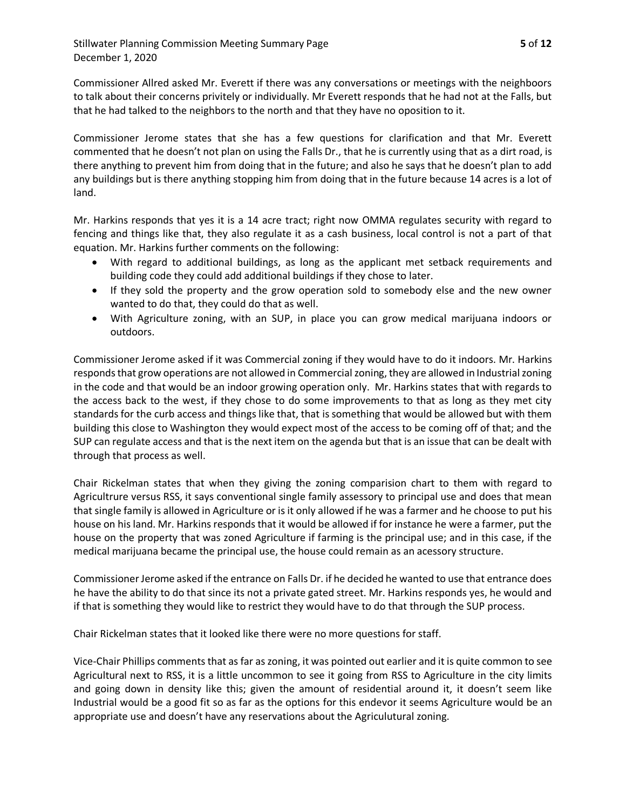Stillwater Planning Commission Meeting Summary Page **5** of **12** December 1, 2020

Commissioner Allred asked Mr. Everett if there was any conversations or meetings with the neighboors to talk about their concerns privitely or individually. Mr Everett responds that he had not at the Falls, but that he had talked to the neighbors to the north and that they have no oposition to it.

Commissioner Jerome states that she has a few questions for clarification and that Mr. Everett commented that he doesn't not plan on using the Falls Dr., that he is currently using that as a dirt road, is there anything to prevent him from doing that in the future; and also he says that he doesn't plan to add any buildings but is there anything stopping him from doing that in the future because 14 acres is a lot of land.

Mr. Harkins responds that yes it is a 14 acre tract; right now OMMA regulates security with regard to fencing and things like that, they also regulate it as a cash business, local control is not a part of that equation. Mr. Harkins further comments on the following:

- With regard to additional buildings, as long as the applicant met setback requirements and building code they could add additional buildings if they chose to later.
- If they sold the property and the grow operation sold to somebody else and the new owner wanted to do that, they could do that as well.
- With Agriculture zoning, with an SUP, in place you can grow medical marijuana indoors or outdoors.

Commissioner Jerome asked if it was Commercial zoning if they would have to do it indoors. Mr. Harkins responds that grow operations are not allowed in Commercial zoning, they are allowed in Industrial zoning in the code and that would be an indoor growing operation only. Mr. Harkins states that with regards to the access back to the west, if they chose to do some improvements to that as long as they met city standards for the curb access and things like that, that is something that would be allowed but with them building this close to Washington they would expect most of the access to be coming off of that; and the SUP can regulate access and that is the next item on the agenda but that is an issue that can be dealt with through that process as well.

Chair Rickelman states that when they giving the zoning comparision chart to them with regard to Agricultrure versus RSS, it says conventional single family assessory to principal use and does that mean that single family is allowed in Agriculture or is it only allowed if he was a farmer and he choose to put his house on his land. Mr. Harkins responds that it would be allowed if for instance he were a farmer, put the house on the property that was zoned Agriculture if farming is the principal use; and in this case, if the medical marijuana became the principal use, the house could remain as an acessory structure.

Commissioner Jerome asked if the entrance on Falls Dr. if he decided he wanted to use that entrance does he have the ability to do that since its not a private gated street. Mr. Harkins responds yes, he would and if that is something they would like to restrict they would have to do that through the SUP process.

Chair Rickelman states that it looked like there were no more questions for staff.

Vice-Chair Phillips comments that as far as zoning, it was pointed out earlier and it is quite common to see Agricultural next to RSS, it is a little uncommon to see it going from RSS to Agriculture in the city limits and going down in density like this; given the amount of residential around it, it doesn't seem like Industrial would be a good fit so as far as the options for this endevor it seems Agriculture would be an appropriate use and doesn't have any reservations about the Agriculutural zoning.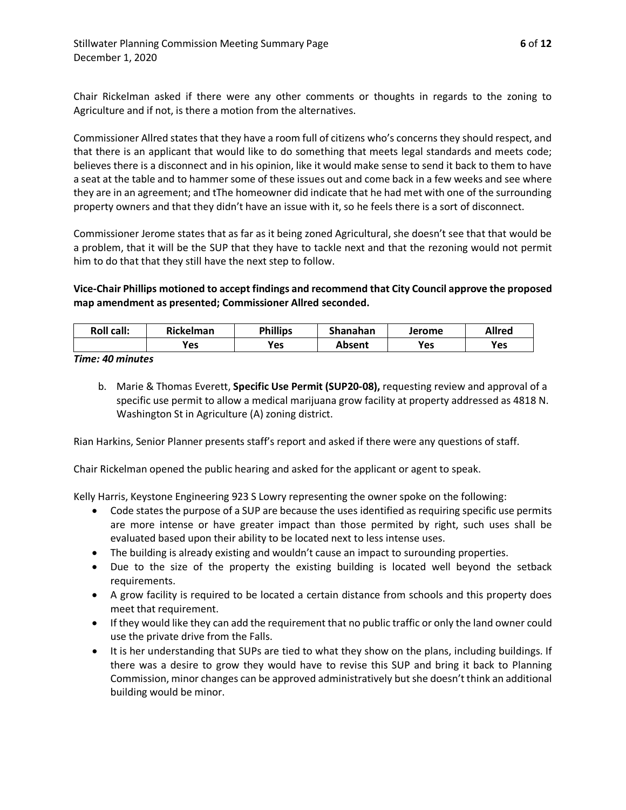Chair Rickelman asked if there were any other comments or thoughts in regards to the zoning to Agriculture and if not, is there a motion from the alternatives.

Commissioner Allred states that they have a room full of citizens who's concerns they should respect, and that there is an applicant that would like to do something that meets legal standards and meets code; believes there is a disconnect and in his opinion, like it would make sense to send it back to them to have a seat at the table and to hammer some of these issues out and come back in a few weeks and see where they are in an agreement; and tThe homeowner did indicate that he had met with one of the surrounding property owners and that they didn't have an issue with it, so he feels there is a sort of disconnect.

Commissioner Jerome states that as far as it being zoned Agricultural, she doesn't see that that would be a problem, that it will be the SUP that they have to tackle next and that the rezoning would not permit him to do that that they still have the next step to follow.

# **Vice-Chair Phillips motioned to accept findings and recommend that City Council approve the proposed map amendment as presented; Commissioner Allred seconded.**

| <b>Roll call:</b> | <b>Rickelman</b> | <b>Phillips</b> | Shanahan | Jerome | <b>Allred</b> |
|-------------------|------------------|-----------------|----------|--------|---------------|
|                   | Yes              | <b>Yes</b>      | Absent   | Yes    | Yes           |

*Time: 40 minutes*

b. Marie & Thomas Everett, **Specific Use Permit (SUP20-08),** requesting review and approval of a specific use permit to allow a medical marijuana grow facility at property addressed as 4818 N. Washington St in Agriculture (A) zoning district.

Rian Harkins, Senior Planner presents staff's report and asked if there were any questions of staff.

Chair Rickelman opened the public hearing and asked for the applicant or agent to speak.

Kelly Harris, Keystone Engineering 923 S Lowry representing the owner spoke on the following:

- Code states the purpose of a SUP are because the uses identified as requiring specific use permits are more intense or have greater impact than those permited by right, such uses shall be evaluated based upon their ability to be located next to less intense uses.
- The building is already existing and wouldn't cause an impact to surounding properties.
- Due to the size of the property the existing building is located well beyond the setback requirements.
- A grow facility is required to be located a certain distance from schools and this property does meet that requirement.
- If they would like they can add the requirement that no public traffic or only the land owner could use the private drive from the Falls.
- It is her understanding that SUPs are tied to what they show on the plans, including buildings. If there was a desire to grow they would have to revise this SUP and bring it back to Planning Commission, minor changes can be approved administratively but she doesn't think an additional building would be minor.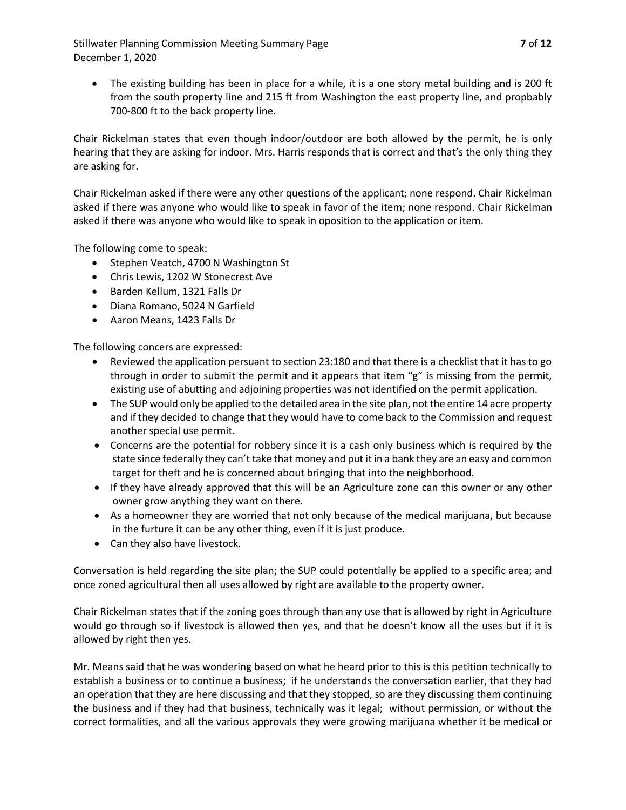Stillwater Planning Commission Meeting Summary Page **7** of **12** December 1, 2020

The existing building has been in place for a while, it is a one story metal building and is 200 ft from the south property line and 215 ft from Washington the east property line, and propbably 700-800 ft to the back property line.

Chair Rickelman states that even though indoor/outdoor are both allowed by the permit, he is only hearing that they are asking for indoor. Mrs. Harris responds that is correct and that's the only thing they are asking for.

Chair Rickelman asked if there were any other questions of the applicant; none respond. Chair Rickelman asked if there was anyone who would like to speak in favor of the item; none respond. Chair Rickelman asked if there was anyone who would like to speak in oposition to the application or item.

The following come to speak:

- Stephen Veatch, 4700 N Washington St
- Chris Lewis, 1202 W Stonecrest Ave
- Barden Kellum, 1321 Falls Dr
- Diana Romano, 5024 N Garfield
- Aaron Means, 1423 Falls Dr

The following concers are expressed:

- Reviewed the application persuant to section 23:180 and that there is a checklist that it has to go through in order to submit the permit and it appears that item "g" is missing from the permit, existing use of abutting and adjoining properties was not identified on the permit application.
- The SUP would only be applied to the detailed area in the site plan, not the entire 14 acre property and if they decided to change that they would have to come back to the Commission and request another special use permit.
- Concerns are the potential for robbery since it is a cash only business which is required by the state since federally they can't take that money and put it in a bank they are an easy and common target for theft and he is concerned about bringing that into the neighborhood.
- If they have already approved that this will be an Agriculture zone can this owner or any other owner grow anything they want on there.
- As a homeowner they are worried that not only because of the medical marijuana, but because in the furture it can be any other thing, even if it is just produce.
- Can they also have livestock.

Conversation is held regarding the site plan; the SUP could potentially be applied to a specific area; and once zoned agricultural then all uses allowed by right are available to the property owner.

Chair Rickelman states that if the zoning goes through than any use that is allowed by right in Agriculture would go through so if livestock is allowed then yes, and that he doesn't know all the uses but if it is allowed by right then yes.

Mr. Means said that he was wondering based on what he heard prior to this is this petition technically to establish a business or to continue a business; if he understands the conversation earlier, that they had an operation that they are here discussing and that they stopped, so are they discussing them continuing the business and if they had that business, technically was it legal; without permission, or without the correct formalities, and all the various approvals they were growing marijuana whether it be medical or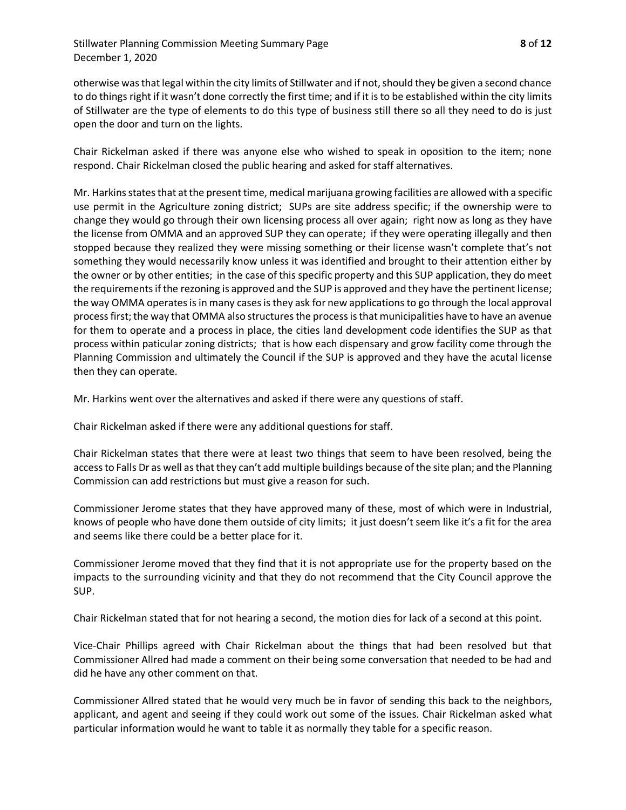otherwise was that legal within the city limits of Stillwater and if not,should they be given a second chance to do things right if it wasn't done correctly the first time; and if it is to be established within the city limits of Stillwater are the type of elements to do this type of business still there so all they need to do is just open the door and turn on the lights.

Chair Rickelman asked if there was anyone else who wished to speak in oposition to the item; none respond. Chair Rickelman closed the public hearing and asked for staff alternatives.

Mr. Harkins statesthat at the present time, medical marijuana growing facilities are allowed with a specific use permit in the Agriculture zoning district; SUPs are site address specific; if the ownership were to change they would go through their own licensing process all over again; right now as long as they have the license from OMMA and an approved SUP they can operate; if they were operating illegally and then stopped because they realized they were missing something or their license wasn't complete that's not something they would necessarily know unless it was identified and brought to their attention either by the owner or by other entities; in the case of this specific property and this SUP application, they do meet the requirements if the rezoning is approved and the SUP is approved and they have the pertinent license; the way OMMA operates is in many cases is they ask for new applications to go through the local approval process first; the way that OMMA also structures the process is that municipalities have to have an avenue for them to operate and a process in place, the cities land development code identifies the SUP as that process within paticular zoning districts; that is how each dispensary and grow facility come through the Planning Commission and ultimately the Council if the SUP is approved and they have the acutal license then they can operate.

Mr. Harkins went over the alternatives and asked if there were any questions of staff.

Chair Rickelman asked if there were any additional questions for staff.

Chair Rickelman states that there were at least two things that seem to have been resolved, being the access to Falls Dr as well as that they can't add multiple buildings because of the site plan; and the Planning Commission can add restrictions but must give a reason for such.

Commissioner Jerome states that they have approved many of these, most of which were in Industrial, knows of people who have done them outside of city limits; it just doesn't seem like it's a fit for the area and seems like there could be a better place for it.

Commissioner Jerome moved that they find that it is not appropriate use for the property based on the impacts to the surrounding vicinity and that they do not recommend that the City Council approve the SUP.

Chair Rickelman stated that for not hearing a second, the motion dies for lack of a second at this point.

Vice-Chair Phillips agreed with Chair Rickelman about the things that had been resolved but that Commissioner Allred had made a comment on their being some conversation that needed to be had and did he have any other comment on that.

Commissioner Allred stated that he would very much be in favor of sending this back to the neighbors, applicant, and agent and seeing if they could work out some of the issues. Chair Rickelman asked what particular information would he want to table it as normally they table for a specific reason.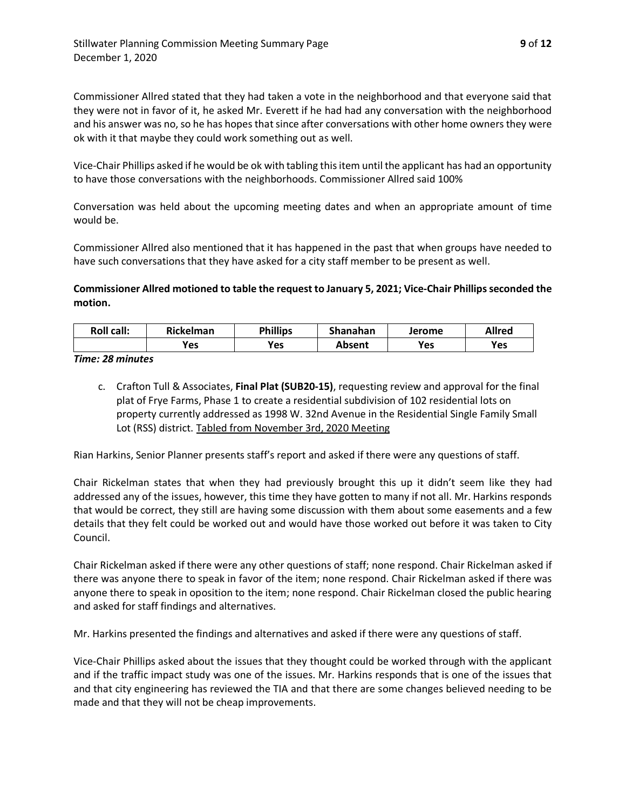Commissioner Allred stated that they had taken a vote in the neighborhood and that everyone said that they were not in favor of it, he asked Mr. Everett if he had had any conversation with the neighborhood and his answer was no, so he has hopes that since after conversations with other home owners they were ok with it that maybe they could work something out as well.

Vice-Chair Phillips asked if he would be ok with tabling this item until the applicant has had an opportunity to have those conversations with the neighborhoods. Commissioner Allred said 100%

Conversation was held about the upcoming meeting dates and when an appropriate amount of time would be.

Commissioner Allred also mentioned that it has happened in the past that when groups have needed to have such conversations that they have asked for a city staff member to be present as well.

# **Commissioner Allred motioned to table the request to January 5, 2021; Vice-Chair Phillips seconded the motion.**

| <b>Roll call:</b> | <b>Rickelman</b> | <b>Phillips</b> | Shanahan | Jerome | <b>Allred</b> |
|-------------------|------------------|-----------------|----------|--------|---------------|
|                   | Yes              | Yes             | Absent   | Yes    | Yes           |

*Time: 28 minutes*

c. Crafton Tull & Associates, **Final Plat (SUB20-15)**, requesting review and approval for the final plat of Frye Farms, Phase 1 to create a residential subdivision of 102 residential lots on property currently addressed as 1998 W. 32nd Avenue in the Residential Single Family Small Lot (RSS) district. Tabled from November 3rd, 2020 Meeting

Rian Harkins, Senior Planner presents staff's report and asked if there were any questions of staff.

Chair Rickelman states that when they had previously brought this up it didn't seem like they had addressed any of the issues, however, this time they have gotten to many if not all. Mr. Harkins responds that would be correct, they still are having some discussion with them about some easements and a few details that they felt could be worked out and would have those worked out before it was taken to City Council.

Chair Rickelman asked if there were any other questions of staff; none respond. Chair Rickelman asked if there was anyone there to speak in favor of the item; none respond. Chair Rickelman asked if there was anyone there to speak in oposition to the item; none respond. Chair Rickelman closed the public hearing and asked for staff findings and alternatives.

Mr. Harkins presented the findings and alternatives and asked if there were any questions of staff.

Vice-Chair Phillips asked about the issues that they thought could be worked through with the applicant and if the traffic impact study was one of the issues. Mr. Harkins responds that is one of the issues that and that city engineering has reviewed the TIA and that there are some changes believed needing to be made and that they will not be cheap improvements.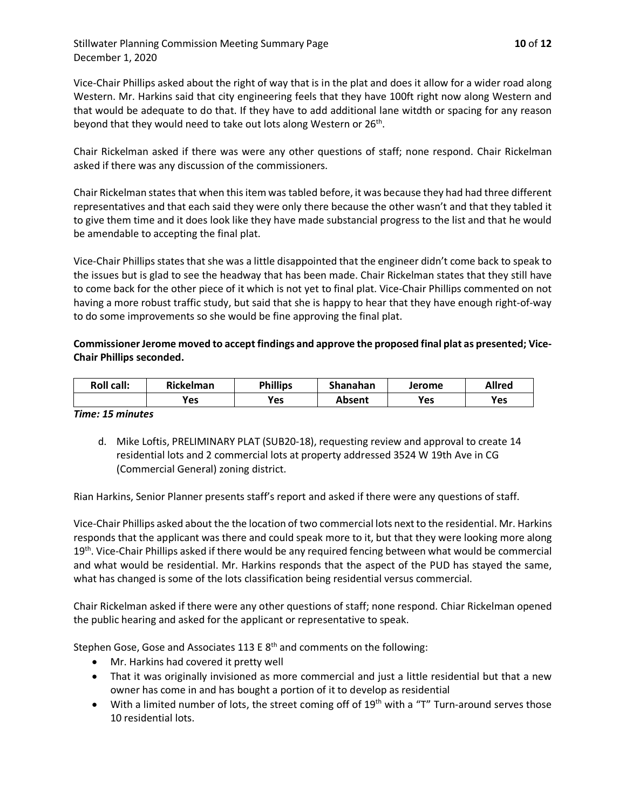Stillwater Planning Commission Meeting Summary Page **10** of **12** December 1, 2020

Vice-Chair Phillips asked about the right of way that is in the plat and does it allow for a wider road along Western. Mr. Harkins said that city engineering feels that they have 100ft right now along Western and that would be adequate to do that. If they have to add additional lane witdth or spacing for any reason beyond that they would need to take out lots along Western or 26<sup>th</sup>.

Chair Rickelman asked if there was were any other questions of staff; none respond. Chair Rickelman asked if there was any discussion of the commissioners.

Chair Rickelman states that when this item was tabled before, it was because they had had three different representatives and that each said they were only there because the other wasn't and that they tabled it to give them time and it does look like they have made substancial progress to the list and that he would be amendable to accepting the final plat.

Vice-Chair Phillips states that she was a little disappointed that the engineer didn't come back to speak to the issues but is glad to see the headway that has been made. Chair Rickelman states that they still have to come back for the other piece of it which is not yet to final plat. Vice-Chair Phillips commented on not having a more robust traffic study, but said that she is happy to hear that they have enough right-of-way to do some improvements so she would be fine approving the final plat.

### **Commissioner Jerome moved to accept findings and approve the proposed final plat as presented; Vice-Chair Phillips seconded.**

| <b>Roll call:</b> | <b>Rickelman</b> | <b>Phillips</b> | Shanahan | Jerome | Allred |
|-------------------|------------------|-----------------|----------|--------|--------|
|                   | Yes              | <b>Yes</b>      | Absent   | Yes    | Yes    |

#### *Time: 15 minutes*

d. Mike Loftis, PRELIMINARY PLAT (SUB20-18), requesting review and approval to create 14 residential lots and 2 commercial lots at property addressed 3524 W 19th Ave in CG (Commercial General) zoning district.

Rian Harkins, Senior Planner presents staff's report and asked if there were any questions of staff.

Vice-Chair Phillips asked about the the location of two commercial lots next to the residential. Mr. Harkins responds that the applicant was there and could speak more to it, but that they were looking more along 19<sup>th</sup>. Vice-Chair Phillips asked if there would be any required fencing between what would be commercial and what would be residential. Mr. Harkins responds that the aspect of the PUD has stayed the same, what has changed is some of the lots classification being residential versus commercial.

Chair Rickelman asked if there were any other questions of staff; none respond. Chiar Rickelman opened the public hearing and asked for the applicant or representative to speak.

Stephen Gose, Gose and Associates 113 E  $8<sup>th</sup>$  and comments on the following:

- Mr. Harkins had covered it pretty well
- That it was originally invisioned as more commercial and just a little residential but that a new owner has come in and has bought a portion of it to develop as residential
- With a limited number of lots, the street coming off of  $19<sup>th</sup>$  with a "T" Turn-around serves those 10 residential lots.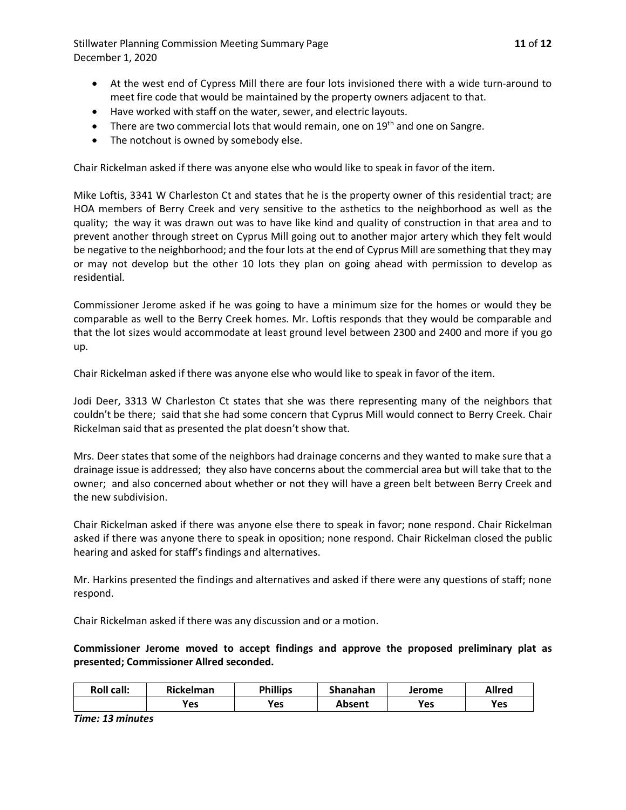Stillwater Planning Commission Meeting Summary Page **11** of **12** December 1, 2020

- At the west end of Cypress Mill there are four lots invisioned there with a wide turn-around to meet fire code that would be maintained by the property owners adjacent to that.
- Have worked with staff on the water, sewer, and electric layouts.
- There are two commercial lots that would remain, one on  $19<sup>th</sup>$  and one on Sangre.
- The notchout is owned by somebody else.

Chair Rickelman asked if there was anyone else who would like to speak in favor of the item.

Mike Loftis, 3341 W Charleston Ct and states that he is the property owner of this residential tract; are HOA members of Berry Creek and very sensitive to the asthetics to the neighborhood as well as the quality; the way it was drawn out was to have like kind and quality of construction in that area and to prevent another through street on Cyprus Mill going out to another major artery which they felt would be negative to the neighborhood; and the four lots at the end of Cyprus Mill are something that they may or may not develop but the other 10 lots they plan on going ahead with permission to develop as residential.

Commissioner Jerome asked if he was going to have a minimum size for the homes or would they be comparable as well to the Berry Creek homes. Mr. Loftis responds that they would be comparable and that the lot sizes would accommodate at least ground level between 2300 and 2400 and more if you go up.

Chair Rickelman asked if there was anyone else who would like to speak in favor of the item.

Jodi Deer, 3313 W Charleston Ct states that she was there representing many of the neighbors that couldn't be there; said that she had some concern that Cyprus Mill would connect to Berry Creek. Chair Rickelman said that as presented the plat doesn't show that.

Mrs. Deer states that some of the neighbors had drainage concerns and they wanted to make sure that a drainage issue is addressed; they also have concerns about the commercial area but will take that to the owner; and also concerned about whether or not they will have a green belt between Berry Creek and the new subdivision.

Chair Rickelman asked if there was anyone else there to speak in favor; none respond. Chair Rickelman asked if there was anyone there to speak in oposition; none respond. Chair Rickelman closed the public hearing and asked for staff's findings and alternatives.

Mr. Harkins presented the findings and alternatives and asked if there were any questions of staff; none respond.

Chair Rickelman asked if there was any discussion and or a motion.

**Commissioner Jerome moved to accept findings and approve the proposed preliminary plat as presented; Commissioner Allred seconded.** 

| <b>Roll call:</b> | <b>Rickelman</b> | <b>Phillips</b> | Shanahan | Jerome | <b>Allred</b> |
|-------------------|------------------|-----------------|----------|--------|---------------|
|                   | Yes              | Yes             | Absent   | Yes    | Yes           |

*Time: 13 minutes*